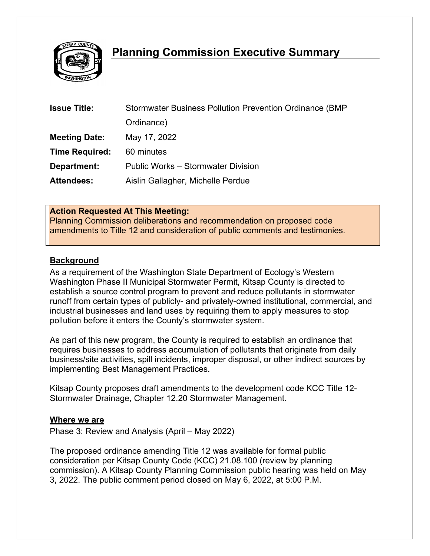

# **Planning Commission Executive Summary**

| <b>Issue Title:</b>   | Stormwater Business Pollution Prevention Ordinance (BMP) |
|-----------------------|----------------------------------------------------------|
|                       | Ordinance)                                               |
| <b>Meeting Date:</b>  | May 17, 2022                                             |
| <b>Time Required:</b> | 60 minutes                                               |
| Department:           | <b>Public Works - Stormwater Division</b>                |
| <b>Attendees:</b>     | Aislin Gallagher, Michelle Perdue                        |

#### **Action Requested At This Meeting:**

Planning Commission deliberations and recommendation on proposed code amendments to Title 12 and consideration of public comments and testimonies.

#### **Background**

As a requirement of the Washington State Department of Ecology's Western Washington Phase II Municipal Stormwater Permit, Kitsap County is directed to establish a source control program to prevent and reduce pollutants in stormwater runoff from certain types of publicly- and privately-owned institutional, commercial, and industrial businesses and land uses by requiring them to apply measures to stop pollution before it enters the County's stormwater system.

As part of this new program, the County is required to establish an ordinance that requires businesses to address accumulation of pollutants that originate from daily business/site activities, spill incidents, improper disposal, or other indirect sources by implementing Best Management Practices.

Kitsap County proposes draft amendments to the development code KCC Title 12- Stormwater Drainage, Chapter 12.20 Stormwater Management.

#### **Where we are**

Phase 3: Review and Analysis (April – May 2022)

The proposed ordinance amending Title 12 was available for formal public consideration per Kitsap County Code (KCC) 21.08.100 (review by planning commission). A Kitsap County Planning Commission public hearing was held on May 3, 2022. The public comment period closed on May 6, 2022, at 5:00 P.M.